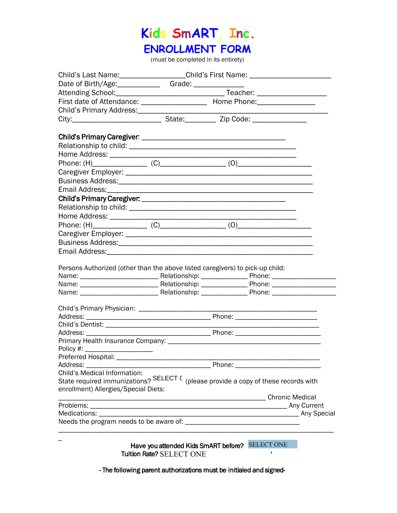# **Kids SmART, Inc.**

### **ENROLLMENT FORM**

(must be completed in its entirety)

| Child's Last Name: ____________________Child's First Name: _____________________    |                          |                                                 |            |  |
|-------------------------------------------------------------------------------------|--------------------------|-------------------------------------------------|------------|--|
|                                                                                     |                          |                                                 |            |  |
|                                                                                     |                          |                                                 |            |  |
| First date of Attendance: ____________________ Home Phone: _____________________    |                          |                                                 |            |  |
|                                                                                     |                          |                                                 |            |  |
|                                                                                     |                          |                                                 |            |  |
|                                                                                     |                          |                                                 |            |  |
|                                                                                     |                          |                                                 |            |  |
|                                                                                     |                          |                                                 |            |  |
|                                                                                     |                          |                                                 |            |  |
|                                                                                     |                          |                                                 |            |  |
|                                                                                     |                          |                                                 |            |  |
|                                                                                     |                          |                                                 |            |  |
|                                                                                     |                          |                                                 |            |  |
|                                                                                     |                          |                                                 |            |  |
|                                                                                     |                          |                                                 |            |  |
|                                                                                     |                          |                                                 |            |  |
|                                                                                     |                          |                                                 |            |  |
|                                                                                     |                          |                                                 |            |  |
|                                                                                     |                          |                                                 |            |  |
|                                                                                     |                          |                                                 |            |  |
|                                                                                     |                          |                                                 |            |  |
| Persons Authorized (other than the above listed caregivers) to pick-up child:       |                          |                                                 |            |  |
|                                                                                     |                          |                                                 |            |  |
|                                                                                     |                          |                                                 |            |  |
|                                                                                     |                          |                                                 |            |  |
|                                                                                     |                          |                                                 |            |  |
|                                                                                     |                          |                                                 |            |  |
|                                                                                     |                          |                                                 |            |  |
|                                                                                     |                          |                                                 |            |  |
|                                                                                     |                          |                                                 |            |  |
|                                                                                     |                          |                                                 |            |  |
| Preferred Hospital: ____                                                            |                          |                                                 |            |  |
| Address:                                                                            |                          | Phone:                                          |            |  |
| Child's Medical Information:                                                        |                          |                                                 |            |  |
| State required immunizations? SELECT C (please provide a copy of these records with |                          |                                                 |            |  |
| enrollment) Allergies/Special Diets:                                                |                          |                                                 |            |  |
|                                                                                     |                          |                                                 |            |  |
|                                                                                     |                          |                                                 |            |  |
|                                                                                     |                          |                                                 |            |  |
|                                                                                     |                          |                                                 |            |  |
|                                                                                     |                          |                                                 |            |  |
|                                                                                     |                          | Have you attended Kids SmART before? SELECT ONE |            |  |
|                                                                                     | Tuition Rate? SELECT ONE |                                                 | $\pmb{\ }$ |  |
|                                                                                     |                          |                                                 |            |  |

- The following parent authorizations must be initialed and signed-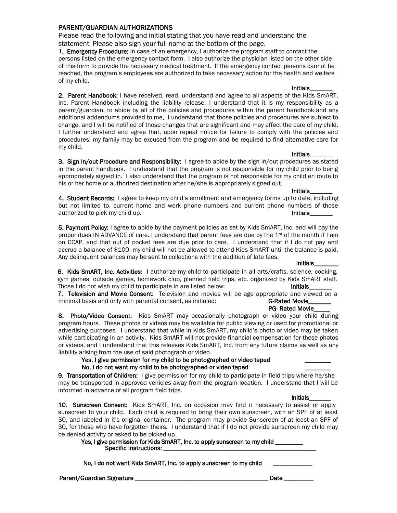Please read the following and initial stating that you have read and understand the statement. Please also sign your full name at the bottom of the page.

1. Emergency Procedure: In case of an emergency, I authorize the program staff to contact the persons listed on the emergency contact form. I also authorize the physician listed on the other side of this form to provide the necessary medical treatment. If the emergency contact persons cannot be reached, the program's employees are authorized to take necessary action for the health and welfare of my child.

2. Parent Handbook: I have received, read, understand and agree to all aspects of the Kids SmART, Inc. Parent Handbook including the liability release. I understand that it is my responsibility as a parent/guardian, to abide by all of the policies and procedures within the parent handbook and any additional addendums provided to me. I understand that those policies and procedures are subject to change, and I will be notified of those changes that are significant and may affect the care of my child. I further understand and agree that, upon repeat notice for failure to comply with the policies and procedures, my family may be excused from the program and be required to find alternative care for my child. **Initials** 

3. Sign in/out Procedure and Responsibility: I agree to abide by the sign in/out procedures as stated in the parent handbook. I understand that the program is not responsible for my child prior to being appropriately signed in. I also understand that the program is not responsible for my child en route to his or her home or authorized destination after he/she is appropriately signed out.

#### Initials\_\_\_\_\_\_\_

Initials\_\_\_\_\_\_\_

4. Student Records: I agree to keep my child's enrollment and emergency forms up to date, including but not limited to, current home and work phone numbers and current phone numbers of those authorized to pick my child up. Initials\_

5. Payment Policy: I agree to abide by the payment policies as set by Kids SmART, Inc. and will pay the proper dues IN ADVANCE of care. I understand that parent fees are due by the 1<sup>st</sup> of the month if I am on CCAP, and that out of pocket fees are due prior to care. I understand that if I do not pay and accrue a balance of \$100, my child will not be allowed to attend Kids SmART until the balance is paid. Any delinquent balances may be sent to collections with the addition of late fees.

#### Initials\_\_\_\_\_\_\_\_

6. Kids SmART, Inc. Activities: I authorize my child to participate in all arts/crafts, science, cooking, gym games, outside games, homework club, planned field trips, etc. organized by Kids SmART staff. Those I do not wish my child to participate in are listed below: Initials

7. Television and Movie Consent: Television and movies will be age appropriate and viewed on a minimal basis and only with parental consent, as initialed: G-Rated Movie

#### PG- Rated Movie

8. Photo/Video Consent: Kids SmART may occasionally photograph or video your child during program hours. These photos or videos may be available for public viewing or used for promotional or advertising purposes. I understand that while in Kids SmART, my child's photo or video may be taken while participating in an activity. Kids SmART will not provide financial compensation for these photos or videos, and I understand that this releases Kids SmART, Inc. from any future claims as well as any liability arising from the use of said photograph or video.

#### Yes, I give permission for my child to be photographed or video taped No, I do not want my child to be photographed or video taped

9. Transportation of Children: I give permission for my child to participate in field trips where he/she may be transported in approved vehicles away from the program location. I understand that I will be informed in advance of all program field trips.

Initials\_\_\_\_\_\_\_ 10. Sunscreen Consent: Kids SmART, Inc. on occasion may find it necessary to assist or apply sunscreen to your child. Each child is required to bring their own sunscreen, with an SPF of at least 30, and labeled in it's original container. The program may provide Sunscreen of at least an SPF of 30, for those who have forgotten theirs. I understand that if I do not provide sunscreen my child may be denied activity or asked to be picked up.

Yes, I give permission for Kids SmART, Inc. to apply sunscreen to my child \_\_\_\_\_ Specific Instructions: \_

No, I do not want Kids SmART, Inc. to apply sunscreen to my child

Parent/Guardian Signature \_\_\_\_\_\_\_\_\_\_\_\_\_\_\_\_\_\_\_\_\_\_\_\_\_\_\_\_\_\_\_\_\_\_\_\_\_\_\_\_\_ Date \_\_\_\_\_\_\_\_\_